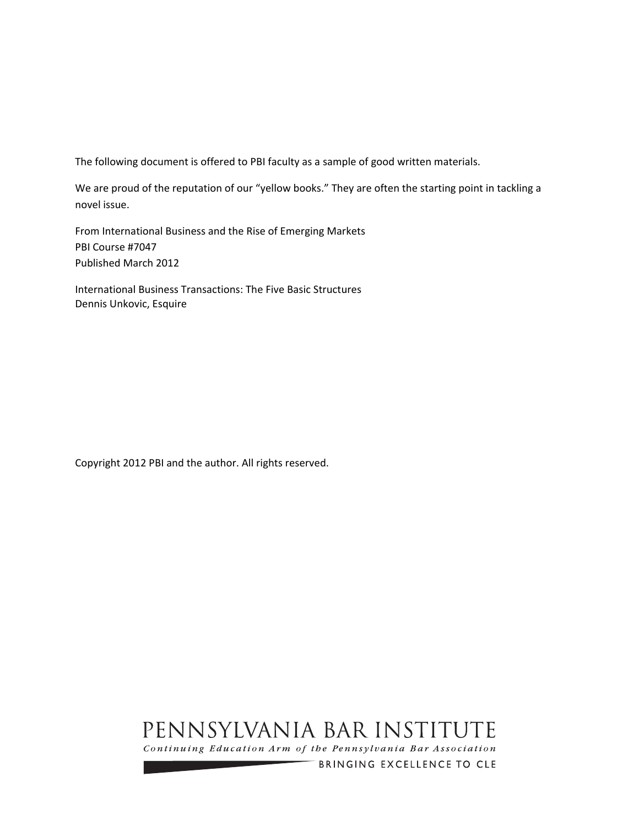The following document is offered to PBI faculty as a sample of good written materials.

We are proud of the reputation of our "yellow books." They are often the starting point in tackling a novel issue.

From International Business and the Rise of Emerging Markets PBI Course #7047 Published March 2012

International Business Transactions: The Five Basic Structures Dennis Unkovic, Esquire

Copyright 2012 PBI and the author. All rights reserved.

# PENNSYLVANIA BAR INSTITUTE

Continuing Education Arm of the Pennsylvania Bar Association

BRINGING EXCELLENCE TO CLE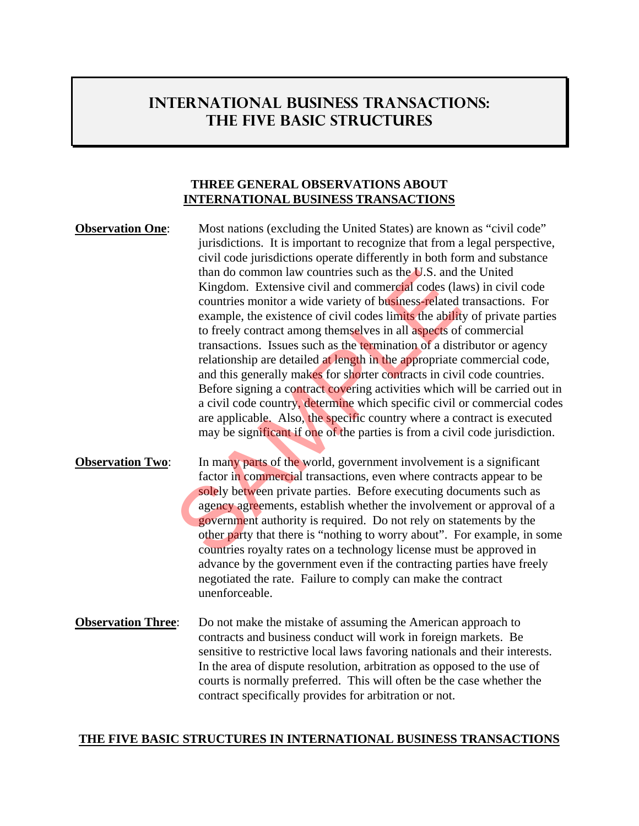# **INTERNATIONAL BUSINESS TRANSACTIONS: THE FIVE BASIC STRUCTURES**

#### **THREE GENERAL OBSERVATIONS ABOUT INTERNATIONAL BUSINESS TRANSACTIONS**

**Observation One:** Most nations (excluding the United States) are known as "civil code" jurisdictions. It is important to recognize that from a legal perspective, civil code jurisdictions operate differently in both form and substance than do common law countries such as the U.S. and the United Kingdom. Extensive civil and commercial codes (laws) in civil code countries monitor a wide variety of business-related transactions. For example, the existence of civil codes limits the ability of private parties to freely contract among themselves in all aspects of commercial transactions. Issues such as the termination of a distributor or agency relationship are detailed at length in the appropriate commercial code, and this generally makes for shorter contracts in civil code countries. Before signing a contract covering activities which will be carried out in a civil code country, determine which specific civil or commercial codes are applicable. Also, the specific country where a contract is executed may be significant if one of the parties is from a civil code jurisdiction. than do common law countries such as the **U**.S. and i<br>Kingdom. Extensive civil and commercial codes (la<br>countries monitor a wide variety of business-related<br>example, the existence of civil codes limits the abilit<br>to freely

- **Observation Two:** In many parts of the world, government involvement is a significant factor in commercial transactions, even where contracts appear to be solely between private parties. Before executing documents such as agency agreements, establish whether the involvement or approval of a government authority is required. Do not rely on statements by the other party that there is "nothing to worry about". For example, in some countries royalty rates on a technology license must be approved in advance by the government even if the contracting parties have freely negotiated the rate. Failure to comply can make the contract unenforceable.
- **Observation Three:** Do not make the mistake of assuming the American approach to contracts and business conduct will work in foreign markets. Be sensitive to restrictive local laws favoring nationals and their interests. In the area of dispute resolution, arbitration as opposed to the use of courts is normally preferred. This will often be the case whether the contract specifically provides for arbitration or not.

#### **THE FIVE BASIC STRUCTURES IN INTERNATIONAL BUSINESS TRANSACTIONS**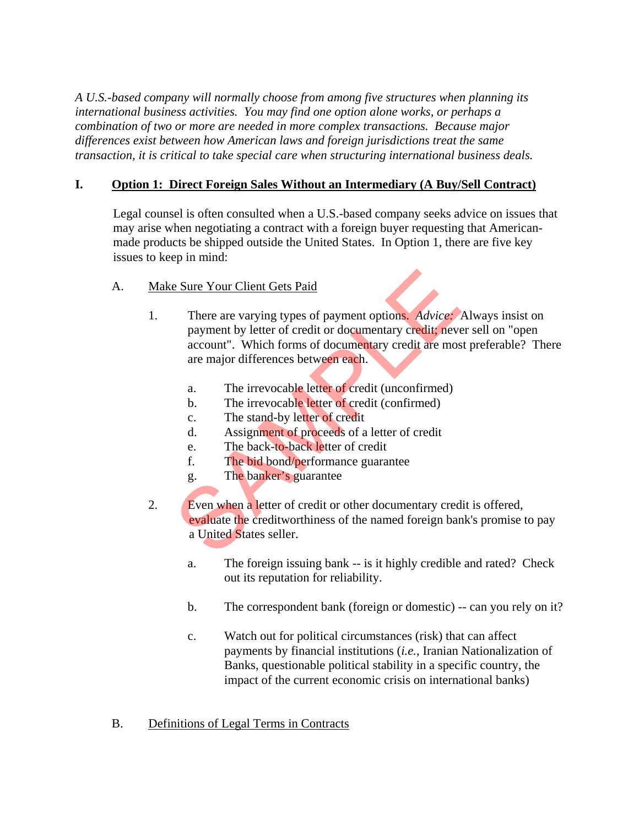*A U.S.-based company will normally choose from among five structures when planning its international business activities. You may find one option alone works, or perhaps a combination of two or more are needed in more complex transactions. Because major differences exist between how American laws and foreign jurisdictions treat the same transaction, it is critical to take special care when structuring international business deals.* 

## **I. Option 1: Direct Foreign Sales Without an Intermediary (A Buy/Sell Contract)**

 Legal counsel is often consulted when a U.S.-based company seeks advice on issues that may arise when negotiating a contract with a foreign buyer requesting that Americanmade products be shipped outside the United States. In Option 1, there are five key issues to keep in mind:

## A. Make Sure Your Client Gets Paid

- 1. There are varying types of payment options. *Advice:* Always insist on payment by letter of credit or documentary credit; never sell on "open account". Which forms of documentary credit are most preferable? There are major differences between each. Exame Your Client Gets Paid<br>
There are varying types of payment options. Advice:<br>
payment by letter of credit or documentary credit; never<br>
account". Which forms of documentary credit are mos<br>
are major differences between
	- a. The irrevocable letter of credit (unconfirmed)
	- b. The irrevocable letter of credit (confirmed)
	- c. The stand-by letter of credit
	- d. Assignment of proceeds of a letter of credit
	- e. The back-to-back letter of credit
	- f. The bid bond/performance guarantee
	- g. The banker's guarantee
- 2. Even when a letter of credit or other documentary credit is offered, evaluate the creditworthiness of the named foreign bank's promise to pay a United States seller.
	- a. The foreign issuing bank -- is it highly credible and rated? Check out its reputation for reliability.
	- b. The correspondent bank (foreign or domestic) -- can you rely on it?
	- c. Watch out for political circumstances (risk) that can affect payments by financial institutions (*i.e.*, Iranian Nationalization of Banks, questionable political stability in a specific country, the impact of the current economic crisis on international banks)

## B. Definitions of Legal Terms in Contracts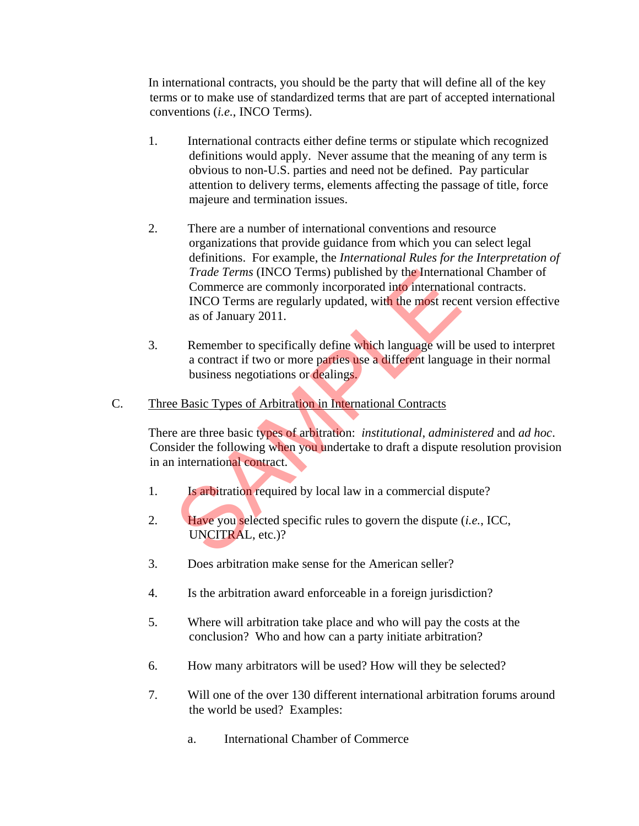In international contracts, you should be the party that will define all of the key terms or to make use of standardized terms that are part of accepted international conventions (*i.e.*, INCO Terms).

- 1. International contracts either define terms or stipulate which recognized definitions would apply. Never assume that the meaning of any term is obvious to non-U.S. parties and need not be defined. Pay particular attention to delivery terms, elements affecting the passage of title, force majeure and termination issues.
- 2. There are a number of international conventions and resource organizations that provide guidance from which you can select legal definitions. For example, the *International Rules for the Interpretation of Trade Terms* (INCO Terms) published by the International Chamber of Commerce are commonly incorporated into international contracts. INCO Terms are regularly updated, with the most recent version effective as of January 2011. Trade Terms (INCO Terms) published by the Internation<br>
Commerce are commonly incorporated into internation<br>
INCO Terms are regularly updated, with the most rece<br>
as of January 2011.<br>
Remember to specifically define which l
- 3. Remember to specifically define which language will be used to interpret a contract if two or more parties use a different language in their normal business negotiations or dealings.
- C. Three Basic Types of Arbitration in International Contracts

 There are three basic types of arbitration: *institutional*, *administered* and *ad hoc*. Consider the following when you undertake to draft a dispute resolution provision in an international contract.

- 1. **Is arbitration required by local law in a commercial dispute?**
- 2. Have you selected specific rules to govern the dispute (*i.e.*, ICC, UNCITRAL, etc.)?
- 3. Does arbitration make sense for the American seller?
- 4. Is the arbitration award enforceable in a foreign jurisdiction?
- 5. Where will arbitration take place and who will pay the costs at the conclusion? Who and how can a party initiate arbitration?
- 6. How many arbitrators will be used? How will they be selected?
- 7. Will one of the over 130 different international arbitration forums around the world be used? Examples:
	- a. International Chamber of Commerce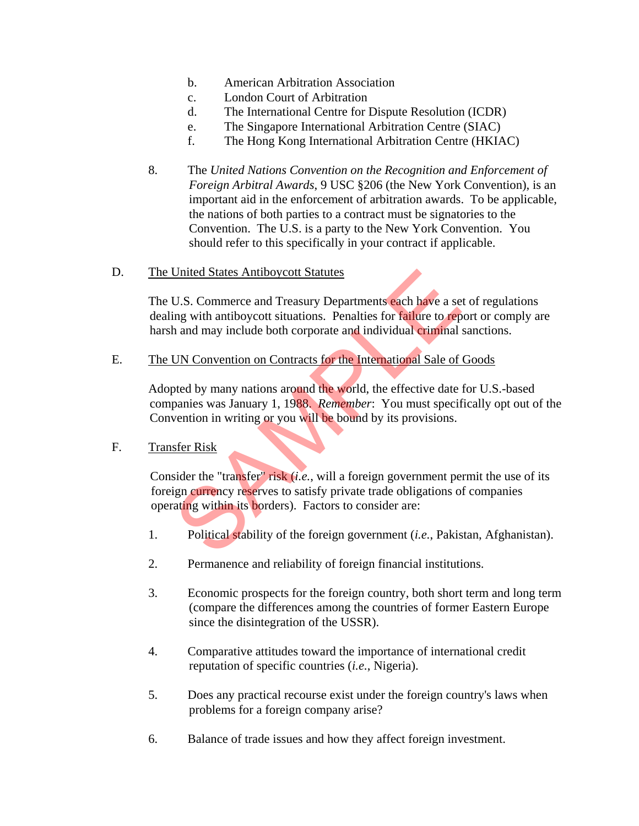- b. American Arbitration Association
- c. London Court of Arbitration
- d. The International Centre for Dispute Resolution (ICDR)
- e. The Singapore International Arbitration Centre (SIAC)
- f. The Hong Kong International Arbitration Centre (HKIAC)
- 8. The *United Nations Convention on the Recognition and Enforcement of Foreign Arbitral Awards*, 9 USC §206 (the New York Convention), is an important aid in the enforcement of arbitration awards. To be applicable, the nations of both parties to a contract must be signatories to the Convention. The U.S. is a party to the New York Convention. You should refer to this specifically in your contract if applicable.
- D. The United States Antiboycott Statutes

The U.S. Commerce and Treasury Departments each have a set of regulations dealing with antiboycott situations. Penalties for failure to report or comply are harsh and may include both corporate and individual criminal sanctions.

E. The UN Convention on Contracts for the International Sale of Goods

Adopted by many nations around the world, the effective date for U.S.-based companies was January 1, 1988. *Remember*: You must specifically opt out of the Convention in writing or you will be bound by its provisions. United States Antiboycott Statutes<br>
U.S. Commerce and Treasury Departments each have a set ing with antiboycott situations. Penalties for failure to rep<br>
h and may include both corporate and individual criminal<br>
UN Convent

F. Transfer Risk

 Consider the "transfer" risk (*i.e.*, will a foreign government permit the use of its foreign currency reserves to satisfy private trade obligations of companies operating within its borders). Factors to consider are:

- 1. Political stability of the foreign government (*i.e.*, Pakistan, Afghanistan).
- 2. Permanence and reliability of foreign financial institutions.
- 3. Economic prospects for the foreign country, both short term and long term (compare the differences among the countries of former Eastern Europe since the disintegration of the USSR).
- 4. Comparative attitudes toward the importance of international credit reputation of specific countries (*i.e.*, Nigeria).
- 5. Does any practical recourse exist under the foreign country's laws when problems for a foreign company arise?
- 6. Balance of trade issues and how they affect foreign investment.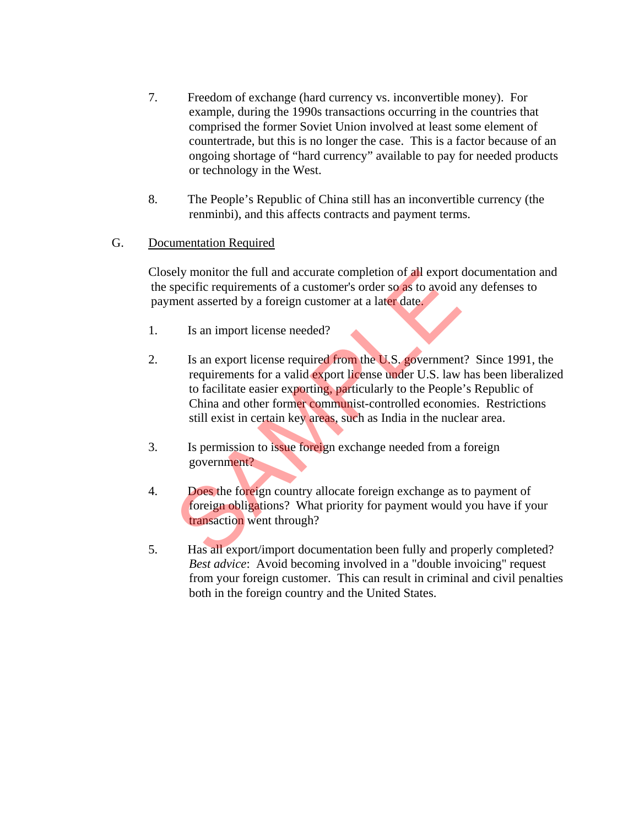- 7. Freedom of exchange (hard currency vs. inconvertible money). For example, during the 1990s transactions occurring in the countries that comprised the former Soviet Union involved at least some element of countertrade, but this is no longer the case. This is a factor because of an ongoing shortage of "hard currency" available to pay for needed products or technology in the West.
- 8. The People's Republic of China still has an inconvertible currency (the renminbi), and this affects contracts and payment terms.

#### G. Documentation Required

 Closely monitor the full and accurate completion of all export documentation and the specific requirements of a customer's order so as to avoid any defenses to payment asserted by a foreign customer at a later date.

- 1. Is an import license needed?
- 2. Is an export license required from the U.S. government? Since 1991, the requirements for a valid export license under U.S. law has been liberalized to facilitate easier exporting, particularly to the People's Republic of China and other former communist-controlled economies. Restrictions still exist in certain key areas, such as India in the nuclear area. Figure 11 and accurate completion of all export<br>specific requirements of a customer's order so as to avoid and asserted by a foreign customer at a later date.<br>Is an import license needed?<br>Is an export license required from
- 3. Is permission to issue foreign exchange needed from a foreign government?
- 4. Does the foreign country allocate foreign exchange as to payment of foreign obligations? What priority for payment would you have if your transaction went through?
- 5. Has all export/import documentation been fully and properly completed? *Best advice*: Avoid becoming involved in a "double invoicing" request from your foreign customer. This can result in criminal and civil penalties both in the foreign country and the United States.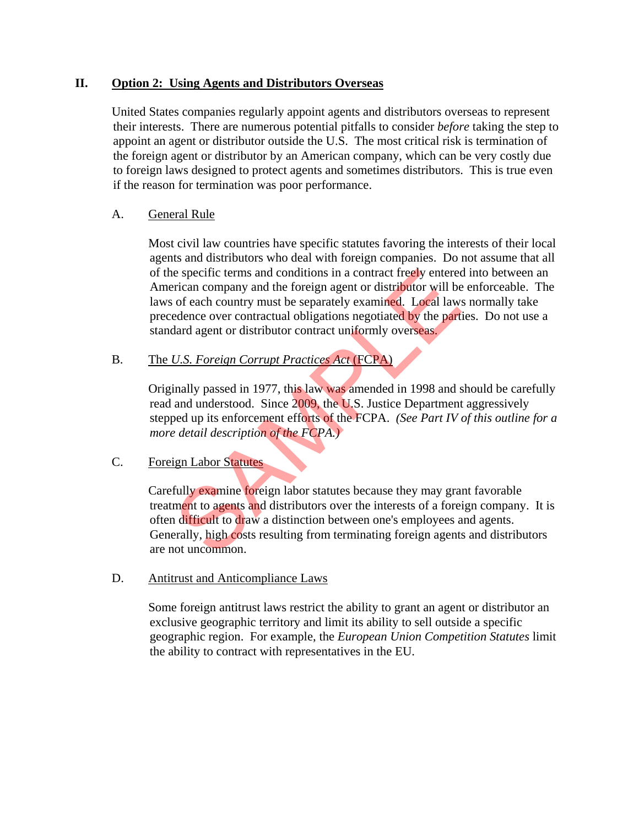#### **II. Option 2: Using Agents and Distributors Overseas**

 United States companies regularly appoint agents and distributors overseas to represent their interests. There are numerous potential pitfalls to consider *before* taking the step to appoint an agent or distributor outside the U.S. The most critical risk is termination of the foreign agent or distributor by an American company, which can be very costly due to foreign laws designed to protect agents and sometimes distributors. This is true even if the reason for termination was poor performance.

#### A. General Rule

 Most civil law countries have specific statutes favoring the interests of their local agents and distributors who deal with foreign companies. Do not assume that all of the specific terms and conditions in a contract freely entered into between an American company and the foreign agent or distributor will be enforceable. The laws of each country must be separately examined. Local laws normally take precedence over contractual obligations negotiated by the parties. Do not use a standard agent or distributor contract uniformly overseas.

## B. The *U.S. Foreign Corrupt Practices Act* (FCPA)

 Originally passed in 1977, this law was amended in 1998 and should be carefully read and understood. Since 2009, the U.S. Justice Department aggressively stepped up its enforcement efforts of the FCPA. *(See Part IV of this outline for a more detail description of the FCPA.)*

## C. Foreign Labor Statutes

 Carefully examine foreign labor statutes because they may grant favorable treatment to agents and distributors over the interests of a foreign company. It is often difficult to draw a distinction between one's employees and agents. Generally, high costs resulting from terminating foreign agents and distributors are not uncommon. e specific terms and conditions in a contract freely entered<br>vertican company and the foreign agent or distributor will be<br>of each country must be separately examined. Local law<br>dedence over contractual obligations negotia

#### D. Antitrust and Anticompliance Laws

 Some foreign antitrust laws restrict the ability to grant an agent or distributor an exclusive geographic territory and limit its ability to sell outside a specific geographic region. For example, the *European Union Competition Statutes* limit the ability to contract with representatives in the EU.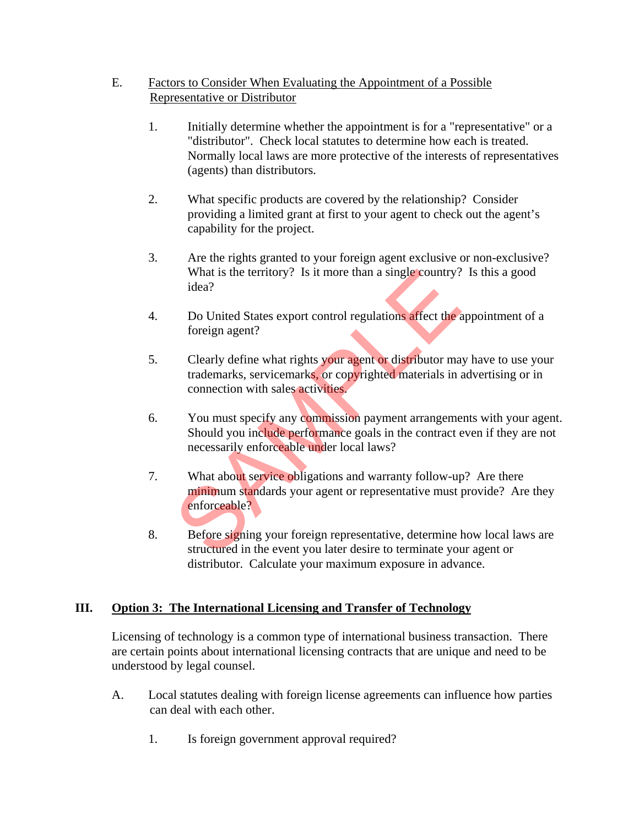## E. Factors to Consider When Evaluating the Appointment of a Possible Representative or Distributor

- 1. Initially determine whether the appointment is for a "representative" or a "distributor". Check local statutes to determine how each is treated. Normally local laws are more protective of the interests of representatives (agents) than distributors.
- 2. What specific products are covered by the relationship? Consider providing a limited grant at first to your agent to check out the agent's capability for the project.
- 3. Are the rights granted to your foreign agent exclusive or non-exclusive? What is the territory? Is it more than a single country? Is this a good idea?
- 4. Do United States export control regulations affect the appointment of a foreign agent?
- 5. Clearly define what rights your agent or distributor may have to use your trademarks, servicemarks, or copyrighted materials in advertising or in connection with sales activities.
- 6. You must specify any commission payment arrangements with your agent. Should you include performance goals in the contract even if they are not necessarily enforceable under local laws?
- 7. What about service obligations and warranty follow-up? Are there minimum standards your agent or representative must provide? Are they enforceable? What is the territory? Is it more than a single country?<br>
idea?<br>
Do United States export control regulations affect the a<br>
foreign agent?<br>
Clearly define what rights your agent or distributor ma<br>
trademarks, servicemarks,
- 8. Before signing your foreign representative, determine how local laws are structured in the event you later desire to terminate your agent or distributor. Calculate your maximum exposure in advance.

# **III. Option 3: The International Licensing and Transfer of Technology**

 Licensing of technology is a common type of international business transaction. There are certain points about international licensing contracts that are unique and need to be understood by legal counsel.

- A. Local statutes dealing with foreign license agreements can influence how parties can deal with each other.
	- 1. Is foreign government approval required?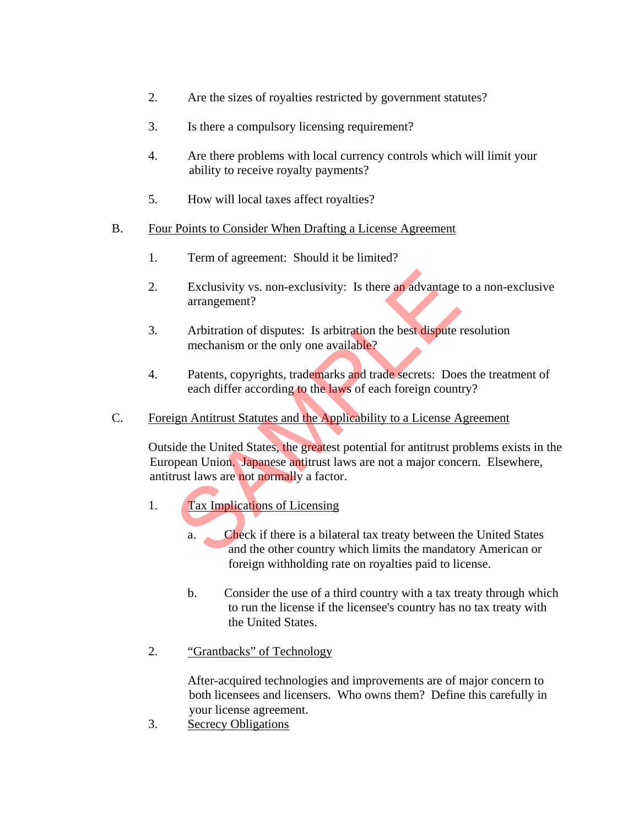- 2. Are the sizes of royalties restricted by government statutes?
- 3. Is there a compulsory licensing requirement?
- 4. Are there problems with local currency controls which will limit your ability to receive royalty payments?
- 5. How will local taxes affect royalties?

#### B. Four Points to Consider When Drafting a License Agreement

- 1. Term of agreement: Should it be limited?
- 2. Exclusivity vs. non-exclusivity: Is there an advantage to a non-exclusive arrangement?
- 3. Arbitration of disputes: Is arbitration the best dispute resolution mechanism or the only one available?
- 4. Patents, copyrights, trademarks and trade secrets: Does the treatment of each differ according to the laws of each foreign country?
- C. Foreign Antitrust Statutes and the Applicability to a License Agreement

 Outside the United States, the greatest potential for antitrust problems exists in the European Union. Japanese antitrust laws are not a major concern. Elsewhere, antitrust laws are not normally a factor. Exclusivity vs. non-exclusivity: Is there an advantage<br>arrangement?<br>Arbitration of disputes: Is arbitration the best dispute r<br>mechanism or the only one available?<br>Patents, copyrights, trademarks and trade secrets: Doe<br>eac

- 1. Tax Implications of Licensing
	- a. Check if there is a bilateral tax treaty between the United States and the other country which limits the mandatory American or foreign withholding rate on royalties paid to license.
	- b. Consider the use of a third country with a tax treaty through which to run the license if the licensee's country has no tax treaty with the United States.
- 2. "Grantbacks" of Technology

 After-acquired technologies and improvements are of major concern to both licensees and licensers. Who owns them? Define this carefully in your license agreement.

3. Secrecy Obligations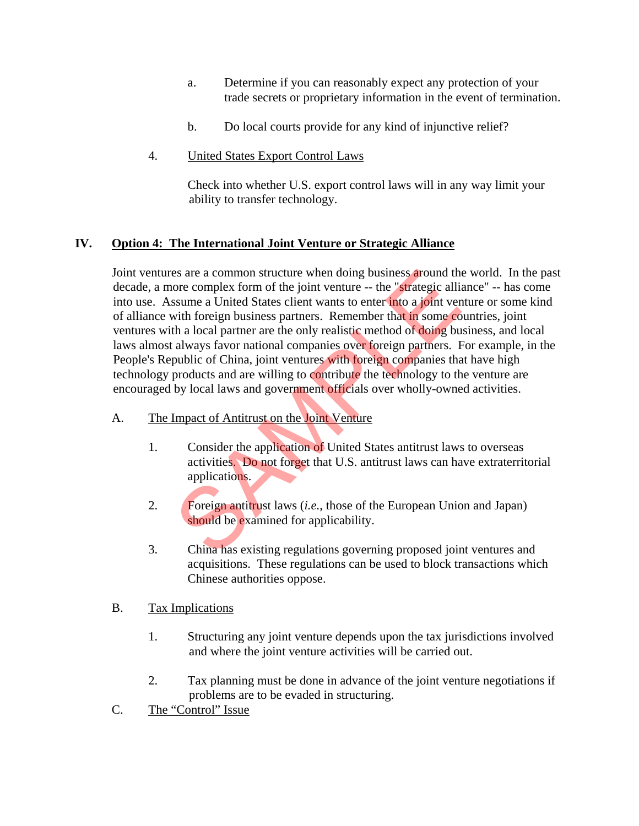- a. Determine if you can reasonably expect any protection of your trade secrets or proprietary information in the event of termination.
- b. Do local courts provide for any kind of injunctive relief?
- 4. United States Export Control Laws

 Check into whether U.S. export control laws will in any way limit your ability to transfer technology.

## **IV. Option 4: The International Joint Venture or Strategic Alliance**

 Joint ventures are a common structure when doing business around the world. In the past decade, a more complex form of the joint venture -- the "strategic alliance" -- has come into use. Assume a United States client wants to enter into a joint venture or some kind of alliance with foreign business partners. Remember that in some countries, joint ventures with a local partner are the only realistic method of doing business, and local laws almost always favor national companies over foreign partners. For example, in the People's Republic of China, joint ventures with foreign companies that have high technology products and are willing to contribute the technology to the venture are encouraged by local laws and government officials over wholly-owned activities. Example at a common structure when doing business around those complex form of the joint venture -- the "strategic allissume a United States client wants to enter into a joint vertit foreign business partners. Remember tha

- A. The Impact of Antitrust on the Joint Venture
	- 1. Consider the application of United States antitrust laws to overseas activities. Do not forget that U.S. antitrust laws can have extraterritorial applications.
	- 2. Foreign antitrust laws (*i.e.*, those of the European Union and Japan) should be examined for applicability.
	- 3. China has existing regulations governing proposed joint ventures and acquisitions. These regulations can be used to block transactions which Chinese authorities oppose.
- B. Tax Implications
	- 1. Structuring any joint venture depends upon the tax jurisdictions involved and where the joint venture activities will be carried out.
	- 2. Tax planning must be done in advance of the joint venture negotiations if problems are to be evaded in structuring.
- C. The "Control" Issue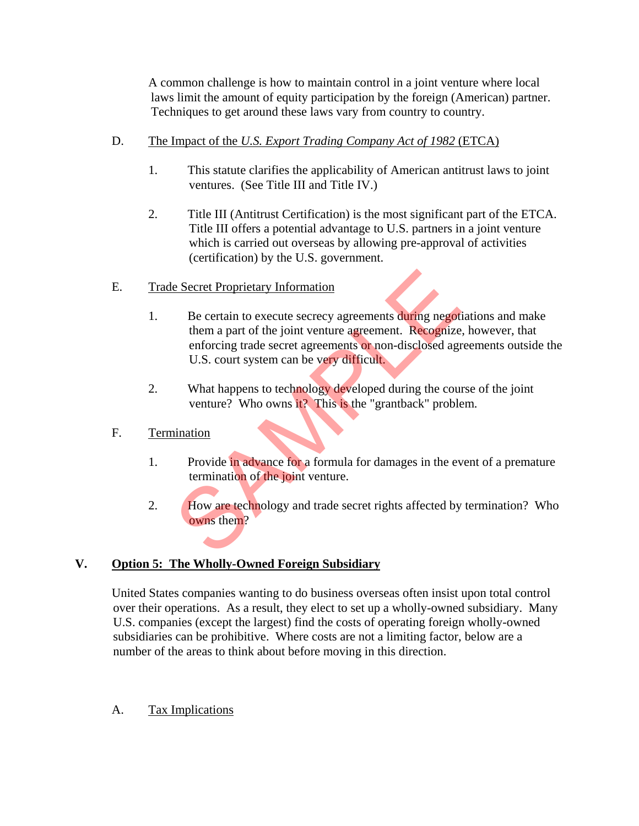A common challenge is how to maintain control in a joint venture where local laws limit the amount of equity participation by the foreign (American) partner. Techniques to get around these laws vary from country to country.

- D. The Impact of the *U.S. Export Trading Company Act of 1982* (ETCA)
	- 1. This statute clarifies the applicability of American antitrust laws to joint ventures. (See Title III and Title IV.)
	- 2. Title III (Antitrust Certification) is the most significant part of the ETCA. Title III offers a potential advantage to U.S. partners in a joint venture which is carried out overseas by allowing pre-approval of activities (certification) by the U.S. government.
- E. Trade Secret Proprietary Information
- 1. Be certain to execute secrecy agreements during negotiations and make them a part of the joint venture agreement. Recognize, however, that enforcing trade secret agreements or non-disclosed agreements outside the U.S. court system can be very difficult. Example Secret Proprietary Information<br>
Be certain to execute secrecy agreements during negotive<br>
them a part of the joint venture agreement. Recognize<br>
enforcing trade secret agreements or non-disclosed agr<br>
U.S. court sy
	- 2. What happens to technology developed during the course of the joint venture? Who owns it? This is the "grantback" problem.
- F. Termination
	- 1. Provide in advance for a formula for damages in the event of a premature termination of the joint venture.
	- 2. How are technology and trade secret rights affected by termination? Who owns them?

# **V. Option 5: The Wholly-Owned Foreign Subsidiary**

 United States companies wanting to do business overseas often insist upon total control over their operations. As a result, they elect to set up a wholly-owned subsidiary. Many U.S. companies (except the largest) find the costs of operating foreign wholly-owned subsidiaries can be prohibitive. Where costs are not a limiting factor, below are a number of the areas to think about before moving in this direction.

## A. Tax Implications